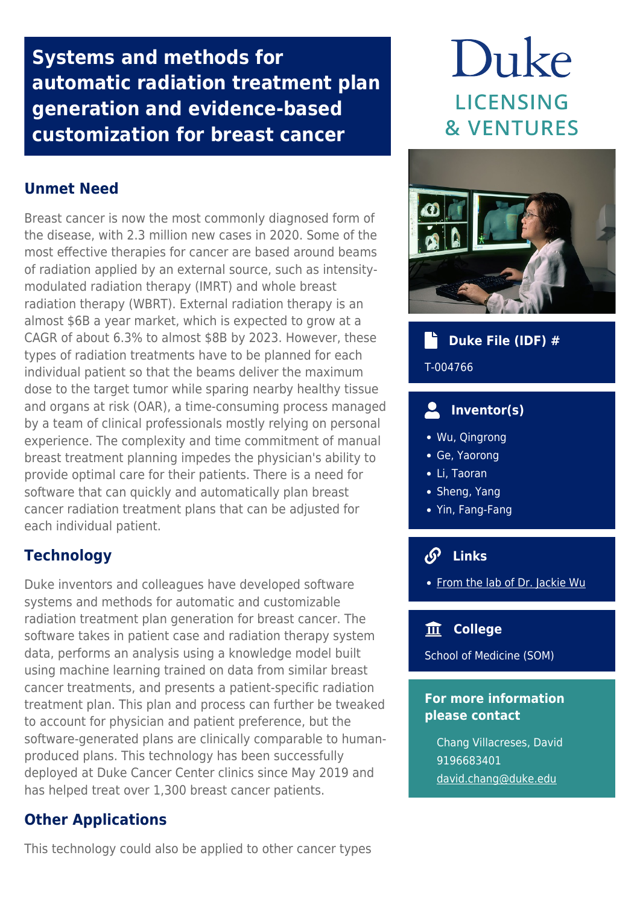**Systems and methods for automatic radiation treatment plan generation and evidence-based customization for breast cancer**

# **Unmet Need**

Breast cancer is now the most commonly diagnosed form of the disease, with 2.3 million new cases in 2020. Some of the most effective therapies for cancer are based around beams of radiation applied by an external source, such as intensitymodulated radiation therapy (IMRT) and whole breast radiation therapy (WBRT). External radiation therapy is an almost \$6B a year market, which is expected to grow at a CAGR of about 6.3% to almost \$8B by 2023. However, these types of radiation treatments have to be planned for each individual patient so that the beams deliver the maximum dose to the target tumor while sparing nearby healthy tissue and organs at risk (OAR), a time-consuming process managed by a team of clinical professionals mostly relying on personal experience. The complexity and time commitment of manual breast treatment planning impedes the physician's ability to provide optimal care for their patients. There is a need for software that can quickly and automatically plan breast cancer radiation treatment plans that can be adjusted for each individual patient.

## **Technology**

Duke inventors and colleagues have developed software systems and methods for automatic and customizable radiation treatment plan generation for breast cancer. The software takes in patient case and radiation therapy system data, performs an analysis using a knowledge model built using machine learning trained on data from similar breast cancer treatments, and presents a patient-specific radiation treatment plan. This plan and process can further be tweaked to account for physician and patient preference, but the software-generated plans are clinically comparable to humanproduced plans. This technology has been successfully deployed at Duke Cancer Center clinics since May 2019 and has helped treat over 1,300 breast cancer patients.

## **Other Applications**

This technology could also be applied to other cancer types

# Duke **LICENSING & VENTURES**



## **Duke File (IDF) #**

#### T-004766

## **Inventor(s)**

- Wu, Qingrong
- Ge, Yaorong
- Li, Taoran
- Sheng, Yang
- Yin, Fang-Fang

# **Links**

• [From the lab of Dr. Jackie Wu](https://scholars.duke.edu/person/jackie.wu)

## **College**

School of Medicine (SOM)

#### **For more information please contact**

Chang Villacreses, David 9196683401 [david.chang@duke.edu](mailto:david.chang@duke.edu)